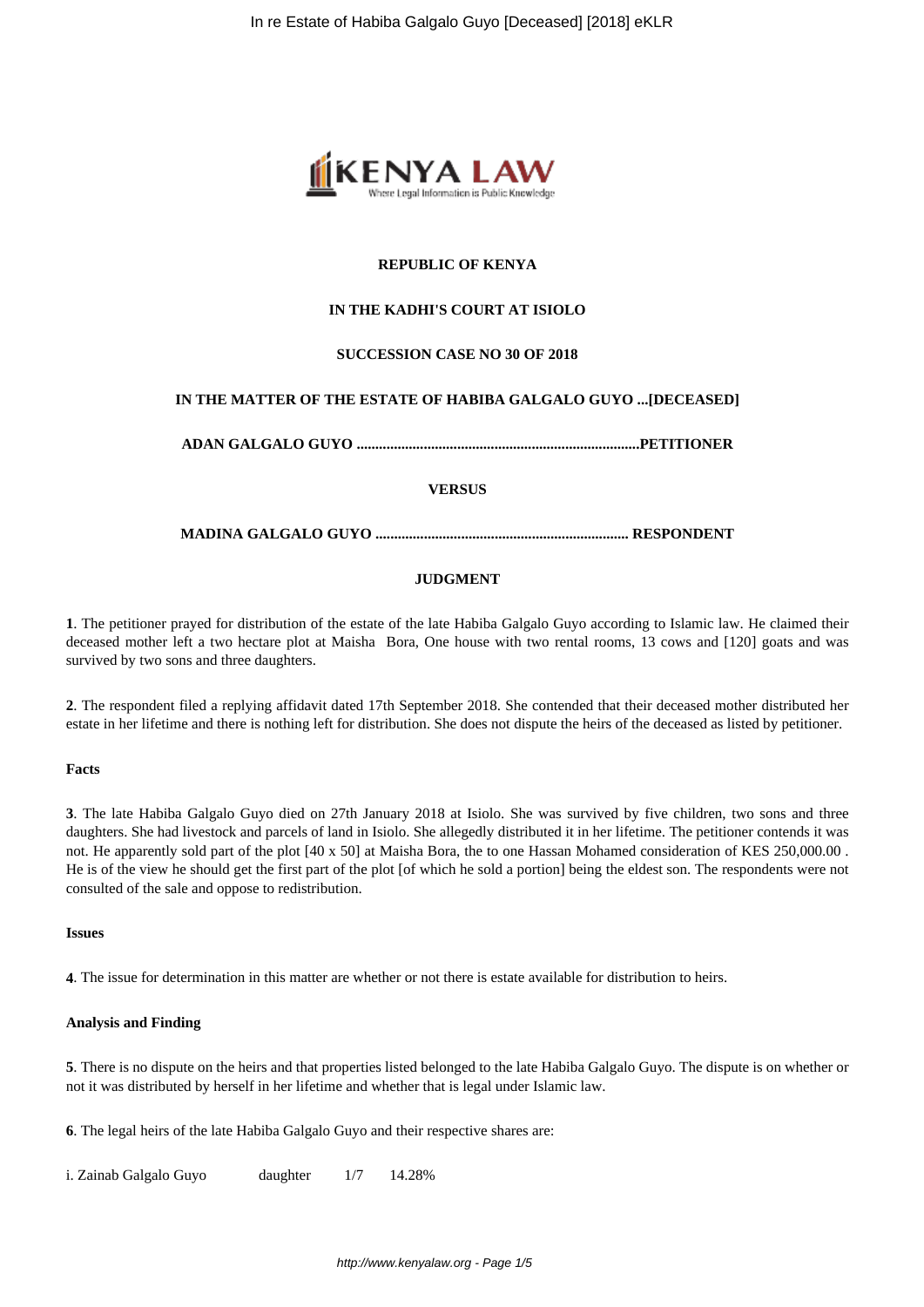

# **REPUBLIC OF KENYA**

# **IN THE KADHI'S COURT AT ISIOLO**

## **SUCCESSION CASE NO 30 OF 2018**

## **IN THE MATTER OF THE ESTATE OF HABIBA GALGALO GUYO ...[DECEASED]**

**ADAN GALGALO GUYO ............................................................................PETITIONER**

## **VERSUS**

### **MADINA GALGALO GUYO .................................................................... RESPONDENT**

### **JUDGMENT**

**1**. The petitioner prayed for distribution of the estate of the late Habiba Galgalo Guyo according to Islamic law. He claimed their deceased mother left a two hectare plot at Maisha Bora, One house with two rental rooms, 13 cows and [120] goats and was survived by two sons and three daughters.

**2**. The respondent filed a replying affidavit dated 17th September 2018. She contended that their deceased mother distributed her estate in her lifetime and there is nothing left for distribution. She does not dispute the heirs of the deceased as listed by petitioner.

#### **Facts**

**3**. The late Habiba Galgalo Guyo died on 27th January 2018 at Isiolo. She was survived by five children, two sons and three daughters. She had livestock and parcels of land in Isiolo. She allegedly distributed it in her lifetime. The petitioner contends it was not. He apparently sold part of the plot [40 x 50] at Maisha Bora, the to one Hassan Mohamed consideration of KES 250,000.00 . He is of the view he should get the first part of the plot [of which he sold a portion] being the eldest son. The respondents were not consulted of the sale and oppose to redistribution.

#### **Issues**

**4**. The issue for determination in this matter are whether or not there is estate available for distribution to heirs.

### **Analysis and Finding**

**5**. There is no dispute on the heirs and that properties listed belonged to the late Habiba Galgalo Guyo. The dispute is on whether or not it was distributed by herself in her lifetime and whether that is legal under Islamic law.

**6**. The legal heirs of the late Habiba Galgalo Guyo and their respective shares are:

i. Zainab Galgalo Guyo daughter 1/7 14.28%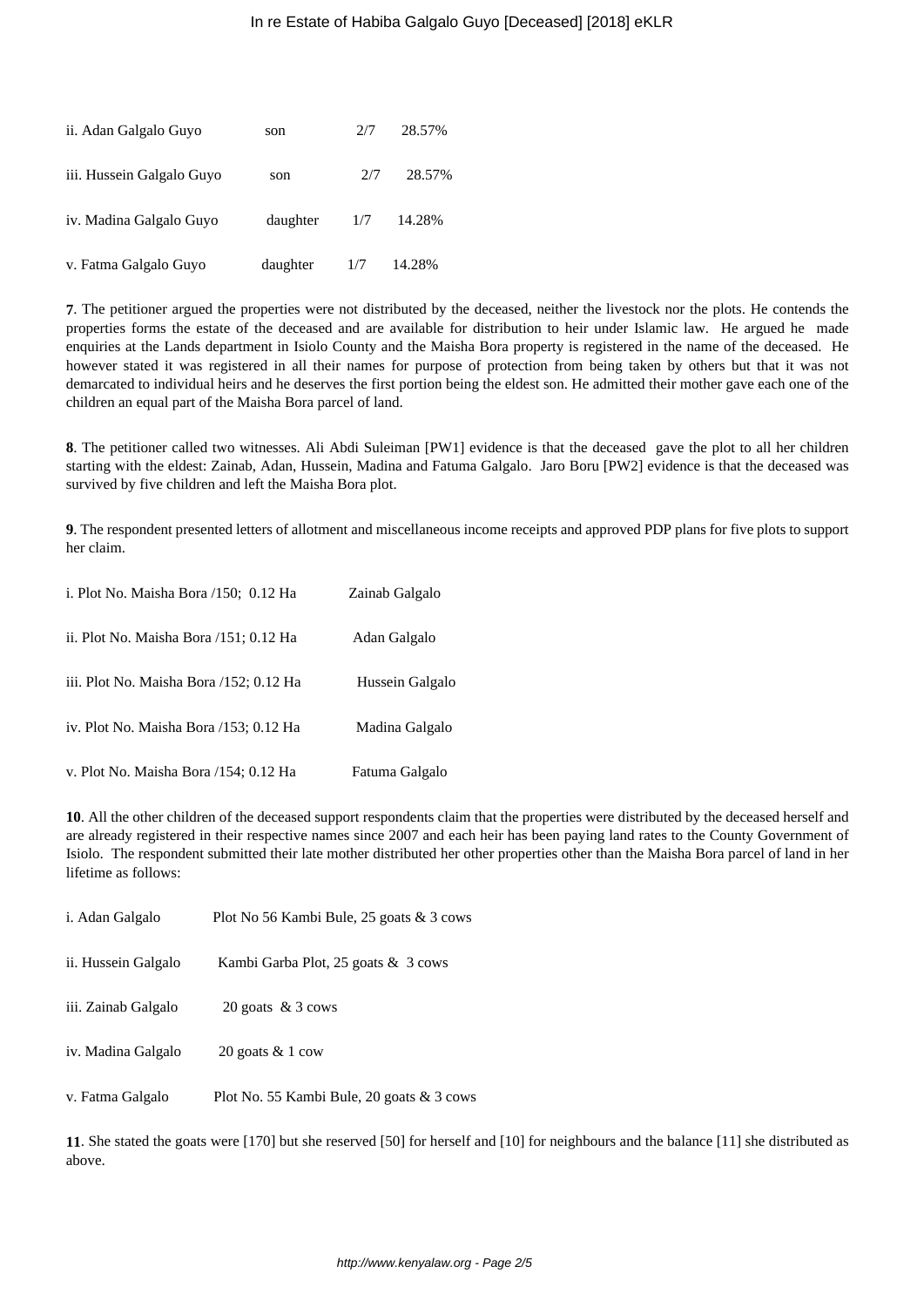| ii. Adan Galgalo Guyo     | son      | 2/7 | 28.57% |
|---------------------------|----------|-----|--------|
| iii. Hussein Galgalo Guyo | son      | 2/7 | 28.57% |
| iv. Madina Galgalo Guyo   | daughter | 1/7 | 14.28% |
| v. Fatma Galgalo Guyo     | daughter | 1/7 | 14.28% |

**7**. The petitioner argued the properties were not distributed by the deceased, neither the livestock nor the plots. He contends the properties forms the estate of the deceased and are available for distribution to heir under Islamic law. He argued he made enquiries at the Lands department in Isiolo County and the Maisha Bora property is registered in the name of the deceased. He however stated it was registered in all their names for purpose of protection from being taken by others but that it was not demarcated to individual heirs and he deserves the first portion being the eldest son. He admitted their mother gave each one of the children an equal part of the Maisha Bora parcel of land.

**8**. The petitioner called two witnesses. Ali Abdi Suleiman [PW1] evidence is that the deceased gave the plot to all her children starting with the eldest: Zainab, Adan, Hussein, Madina and Fatuma Galgalo. Jaro Boru [PW2] evidence is that the deceased was survived by five children and left the Maisha Bora plot.

**9**. The respondent presented letters of allotment and miscellaneous income receipts and approved PDP plans for five plots to support her claim.

| i. Plot No. Maisha Bora /150; 0.12 Ha   | Zainab Galgalo  |
|-----------------------------------------|-----------------|
| ii. Plot No. Maisha Bora /151; 0.12 Ha  | Adan Galgalo    |
| iii. Plot No. Maisha Bora /152; 0.12 Ha | Hussein Galgalo |
| iv. Plot No. Maisha Bora /153; 0.12 Ha  | Madina Galgalo  |
| v. Plot No. Maisha Bora /154; 0.12 Ha   | Fatuma Galgalo  |

**10**. All the other children of the deceased support respondents claim that the properties were distributed by the deceased herself and are already registered in their respective names since 2007 and each heir has been paying land rates to the County Government of Isiolo. The respondent submitted their late mother distributed her other properties other than the Maisha Bora parcel of land in her lifetime as follows:

| i. Adan Galgalo     | Plot No 56 Kambi Bule, 25 goats & 3 cows  |
|---------------------|-------------------------------------------|
| ii. Hussein Galgalo | Kambi Garba Plot, 25 goats & 3 cows       |
| iii. Zainab Galgalo | 20 goats $& 3$ cows                       |
| iv. Madina Galgalo  | 20 goats $& 1 \text{ cow}$                |
| v. Fatma Galgalo    | Plot No. 55 Kambi Bule, 20 goats & 3 cows |

**11**. She stated the goats were [170] but she reserved [50] for herself and [10] for neighbours and the balance [11] she distributed as above.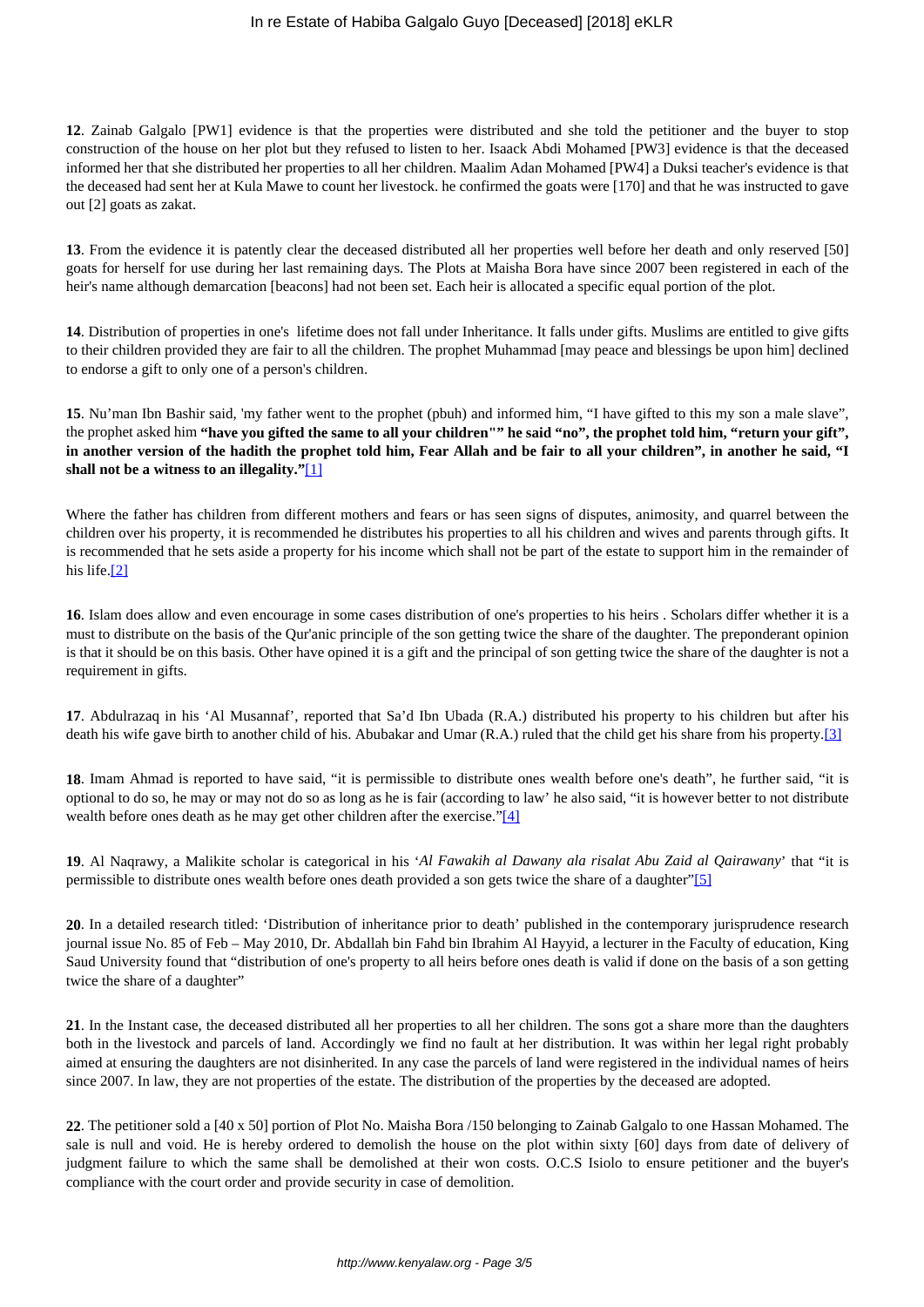**12**. Zainab Galgalo [PW1] evidence is that the properties were distributed and she told the petitioner and the buyer to stop construction of the house on her plot but they refused to listen to her. Isaack Abdi Mohamed [PW3] evidence is that the deceased informed her that she distributed her properties to all her children. Maalim Adan Mohamed [PW4] a Duksi teacher's evidence is that the deceased had sent her at Kula Mawe to count her livestock. he confirmed the goats were [170] and that he was instructed to gave out [2] goats as zakat.

**13**. From the evidence it is patently clear the deceased distributed all her properties well before her death and only reserved [50] goats for herself for use during her last remaining days. The Plots at Maisha Bora have since 2007 been registered in each of the heir's name although demarcation [beacons] had not been set. Each heir is allocated a specific equal portion of the plot.

**14**. Distribution of properties in one's lifetime does not fall under Inheritance. It falls under gifts. Muslims are entitled to give gifts to their children provided they are fair to all the children. The prophet Muhammad [may peace and blessings be upon him] declined to endorse a gift to only one of a person's children.

**15**. Nu'man Ibn Bashir said, 'my father went to the prophet (pbuh) and informed him, "I have gifted to this my son a male slave", the prophet asked him **"have you gifted the same to all your children"" he said "no", the prophet told him, "return your gift", in another version of the hadith the prophet told him, Fear Allah and be fair to all your children", in another he said, "I shall not be a witness to an illegality."**[1]

Where the father has children from different mothers and fears or has seen signs of disputes, animosity, and quarrel between the children over his property, it is recommended he distributes his properties to all his children and wives and parents through gifts. It is recommended that he sets aside a property for his income which shall not be part of the estate to support him in the remainder of his life.[2]

**16**. Islam does allow and even encourage in some cases distribution of one's properties to his heirs . Scholars differ whether it is a must to distribute on the basis of the Qur'anic principle of the son getting twice the share of the daughter. The preponderant opinion is that it should be on this basis. Other have opined it is a gift and the principal of son getting twice the share of the daughter is not a requirement in gifts.

**17**. Abdulrazaq in his 'Al Musannaf', reported that Sa'd Ibn Ubada (R.A.) distributed his property to his children but after his death his wife gave birth to another child of his. Abubakar and Umar (R.A.) ruled that the child get his share from his property.[3]

**18**. Imam Ahmad is reported to have said, "it is permissible to distribute ones wealth before one's death", he further said, "it is optional to do so, he may or may not do so as long as he is fair (according to law' he also said, "it is however better to not distribute wealth before ones death as he may get other children after the exercise."[4]

**19**. Al Naqrawy, a Malikite scholar is categorical in his '*Al Fawakih al Dawany ala risalat Abu Zaid al Qairawany*' that "it is permissible to distribute ones wealth before ones death provided a son gets twice the share of a daughter"[5]

**20**. In a detailed research titled: 'Distribution of inheritance prior to death' published in the contemporary jurisprudence research journal issue No. 85 of Feb – May 2010, Dr. Abdallah bin Fahd bin Ibrahim Al Hayyid, a lecturer in the Faculty of education, King Saud University found that "distribution of one's property to all heirs before ones death is valid if done on the basis of a son getting twice the share of a daughter"

**21**. In the Instant case, the deceased distributed all her properties to all her children. The sons got a share more than the daughters both in the livestock and parcels of land. Accordingly we find no fault at her distribution. It was within her legal right probably aimed at ensuring the daughters are not disinherited. In any case the parcels of land were registered in the individual names of heirs since 2007. In law, they are not properties of the estate. The distribution of the properties by the deceased are adopted.

**22**. The petitioner sold a [40 x 50] portion of Plot No. Maisha Bora /150 belonging to Zainab Galgalo to one Hassan Mohamed. The sale is null and void. He is hereby ordered to demolish the house on the plot within sixty [60] days from date of delivery of judgment failure to which the same shall be demolished at their won costs. O.C.S Isiolo to ensure petitioner and the buyer's compliance with the court order and provide security in case of demolition.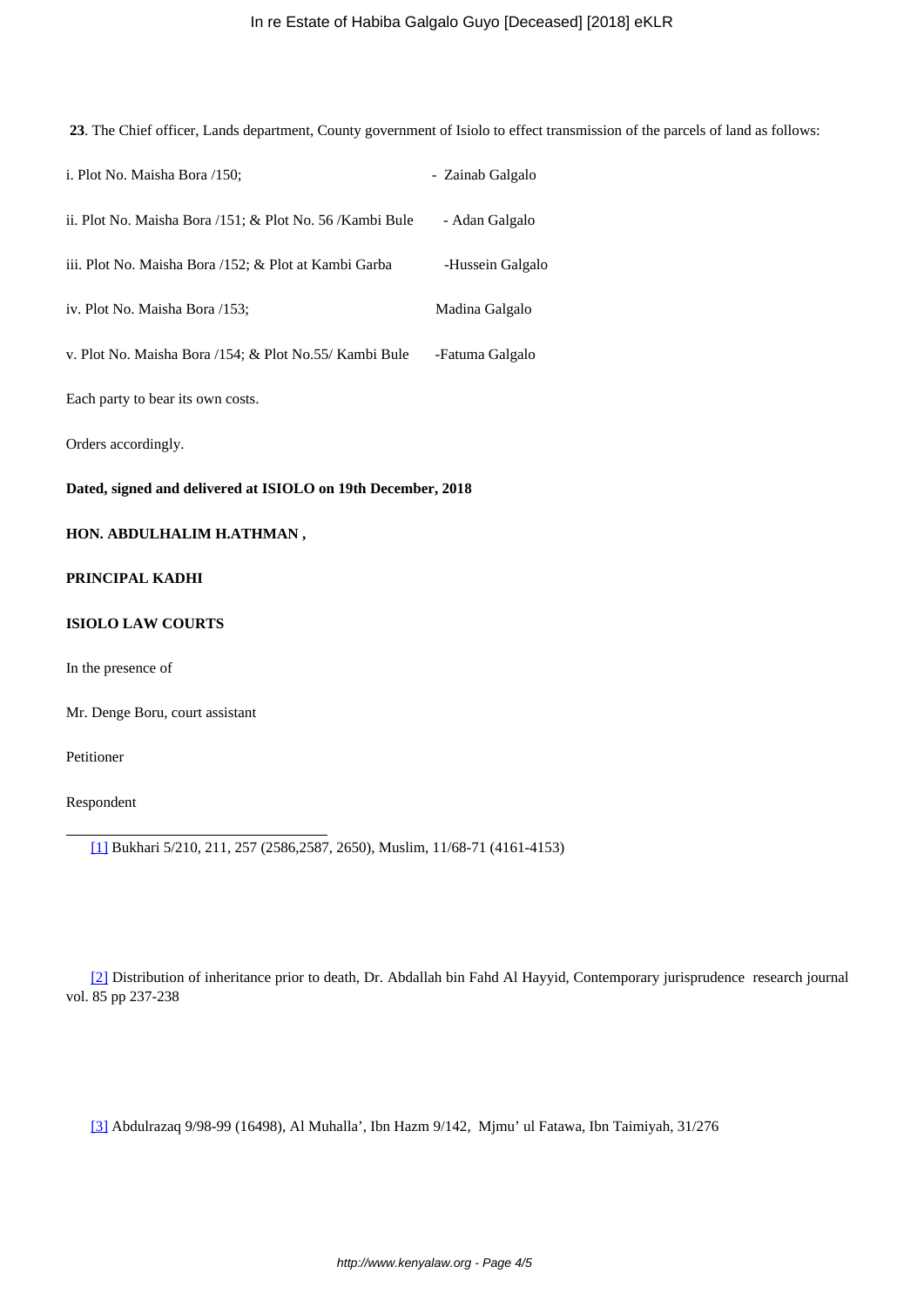# In re Estate of Habiba Galgalo Guyo [Deceased] [2018] eKLR

**23**. The Chief officer, Lands department, County government of Isiolo to effect transmission of the parcels of land as follows:

| i. Plot No. Maisha Bora /150;                             | - Zainab Galgalo |
|-----------------------------------------------------------|------------------|
| ii. Plot No. Maisha Bora /151; & Plot No. 56 / Kambi Bule | - Adan Galgalo   |
| iii. Plot No. Maisha Bora /152; & Plot at Kambi Garba     | -Hussein Galgalo |
| iv. Plot No. Maisha Bora /153;                            | Madina Galgalo   |
| v. Plot No. Maisha Bora /154; & Plot No.55/ Kambi Bule    | -Fatuma Galgalo  |
| Each party to bear its own costs.                         |                  |
| Orders accordingly.                                       |                  |

**Dated, signed and delivered at ISIOLO on 19th December, 2018**

# **HON. ABDULHALIM H.ATHMAN ,**

# **PRINCIPAL KADHI**

## **ISIOLO LAW COURTS**

In the presence of

Mr. Denge Boru, court assistant

Petitioner

Respondent

[1] Bukhari 5/210, 211, 257 (2586,2587, 2650), Muslim, 11/68-71 (4161-4153)

[2] Distribution of inheritance prior to death, Dr. Abdallah bin Fahd Al Hayyid, Contemporary jurisprudence research journal vol. 85 pp 237-238

[3] Abdulrazaq 9/98-99 (16498), Al Muhalla', Ibn Hazm 9/142, Mjmu' ul Fatawa, Ibn Taimiyah, 31/276